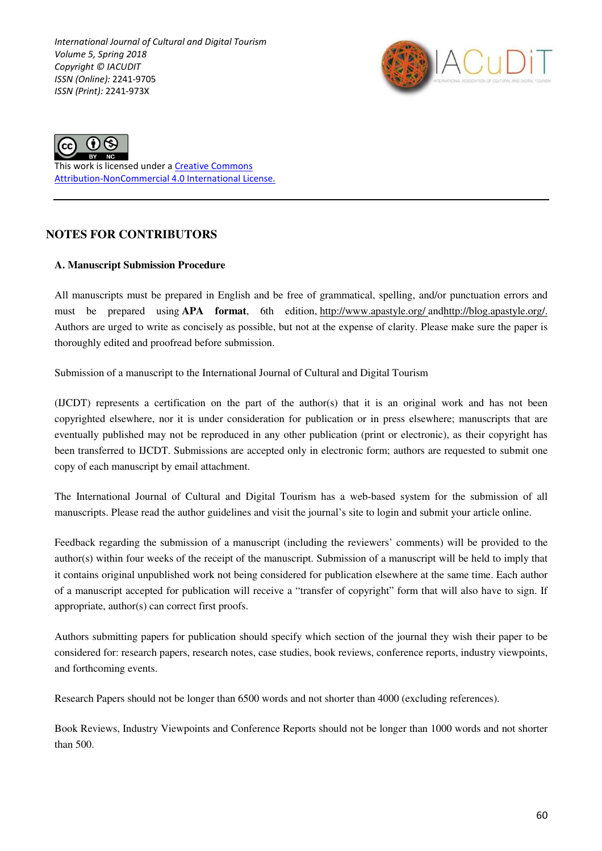*International Journal of Cultural and Digital Tourism Volume 5, Spring 2018 Copyright © IACUDIT ISSN (Online):* 2241-9705 *ISSN (Print):* 2241-973X





This work is licensed under a Creative Commons Attribution-NonCommercial 4.0 International License.

# **NOTES FOR CONTRIBUTORS**

#### **A. Manuscript Submission Procedure**

All manuscripts must be prepared in English and be free of grammatical, spelling, and/or punctuation errors and must be prepared using **APA format**, 6th edition, http://www.apastyle.org/ andhttp://blog.apastyle.org/. Authors are urged to write as concisely as possible, but not at the expense of clarity. Please make sure the paper is thoroughly edited and proofread before submission.

Submission of a manuscript to the International Journal of Cultural and Digital Tourism

(IJCDT) represents a certification on the part of the author(s) that it is an original work and has not been copyrighted elsewhere, nor it is under consideration for publication or in press elsewhere; manuscripts that are eventually published may not be reproduced in any other publication (print or electronic), as their copyright has been transferred to IJCDT. Submissions are accepted only in electronic form; authors are requested to submit one copy of each manuscript by email attachment.

The International Journal of Cultural and Digital Tourism has a web-based system for the submission of all manuscripts. Please read the author guidelines and visit the journal's site to login and submit your article online.

Feedback regarding the submission of a manuscript (including the reviewers' comments) will be provided to the author(s) within four weeks of the receipt of the manuscript. Submission of a manuscript will be held to imply that it contains original unpublished work not being considered for publication elsewhere at the same time. Each author of a manuscript accepted for publication will receive a "transfer of copyright" form that will also have to sign. If appropriate, author(s) can correct first proofs.

Authors submitting papers for publication should specify which section of the journal they wish their paper to be considered for: research papers, research notes, case studies, book reviews, conference reports, industry viewpoints, and forthcoming events.

Research Papers should not be longer than 6500 words and not shorter than 4000 (excluding references).

Book Reviews, Industry Viewpoints and Conference Reports should not be longer than 1000 words and not shorter than 500.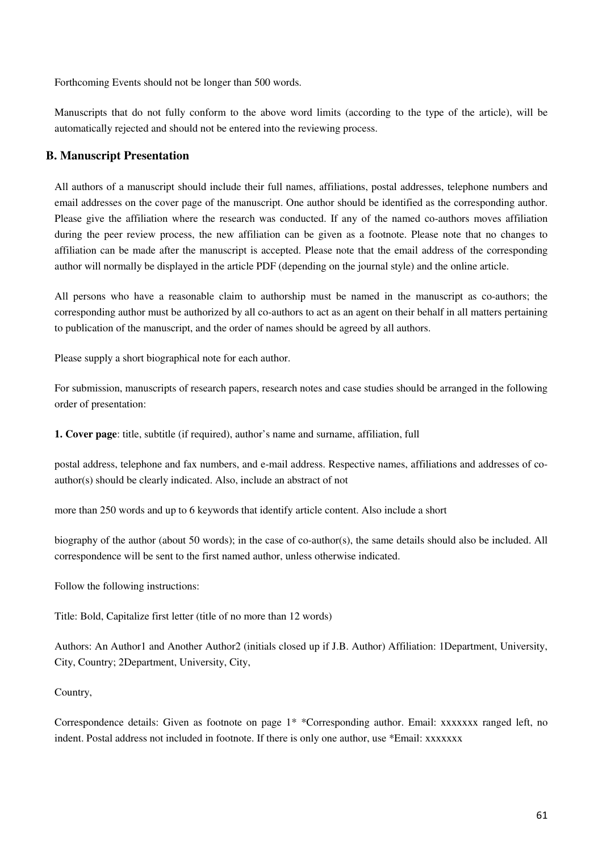Forthcoming Events should not be longer than 500 words.

Manuscripts that do not fully conform to the above word limits (according to the type of the article), will be automatically rejected and should not be entered into the reviewing process.

### **B. Manuscript Presentation**

All authors of a manuscript should include their full names, affiliations, postal addresses, telephone numbers and email addresses on the cover page of the manuscript. One author should be identified as the corresponding author. Please give the affiliation where the research was conducted. If any of the named co-authors moves affiliation during the peer review process, the new affiliation can be given as a footnote. Please note that no changes to affiliation can be made after the manuscript is accepted. Please note that the email address of the corresponding author will normally be displayed in the article PDF (depending on the journal style) and the online article.

All persons who have a reasonable claim to authorship must be named in the manuscript as co-authors; the corresponding author must be authorized by all co-authors to act as an agent on their behalf in all matters pertaining to publication of the manuscript, and the order of names should be agreed by all authors.

Please supply a short biographical note for each author.

For submission, manuscripts of research papers, research notes and case studies should be arranged in the following order of presentation:

**1. Cover page**: title, subtitle (if required), author's name and surname, affiliation, full

postal address, telephone and fax numbers, and e-mail address. Respective names, affiliations and addresses of coauthor(s) should be clearly indicated. Also, include an abstract of not

more than 250 words and up to 6 keywords that identify article content. Also include a short

biography of the author (about 50 words); in the case of co-author(s), the same details should also be included. All correspondence will be sent to the first named author, unless otherwise indicated.

Follow the following instructions:

Title: Bold, Capitalize first letter (title of no more than 12 words)

Authors: An Author1 and Another Author2 (initials closed up if J.B. Author) Affiliation: 1Department, University, City, Country; 2Department, University, City,

#### Country,

Correspondence details: Given as footnote on page 1<sup>\*</sup> \*Corresponding author. Email: xxxxxxx ranged left, no indent. Postal address not included in footnote. If there is only one author, use \*Email: xxxxxxx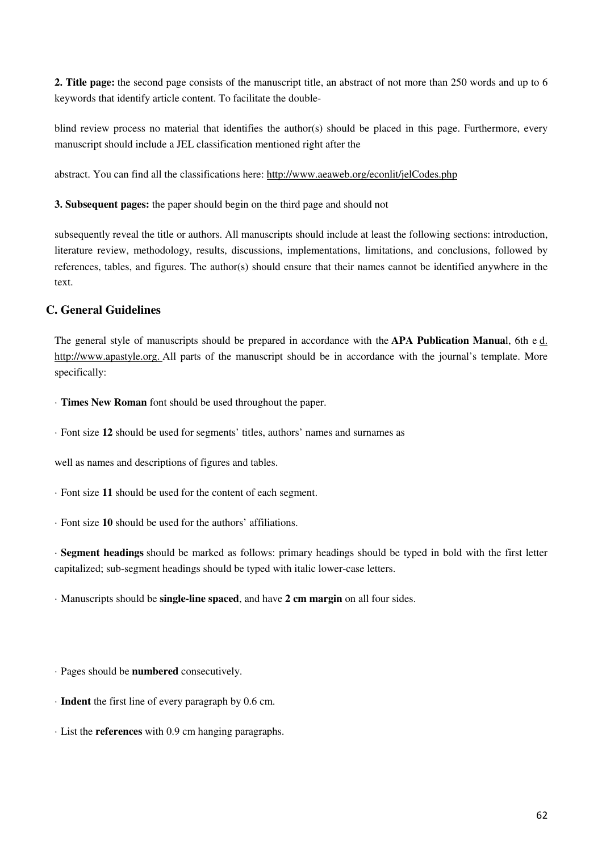**2. Title page:** the second page consists of the manuscript title, an abstract of not more than 250 words and up to 6 keywords that identify article content. To facilitate the double-

blind review process no material that identifies the author(s) should be placed in this page. Furthermore, every manuscript should include a JEL classification mentioned right after the

abstract. You can find all the classifications here: http://www.aeaweb.org/econlit/jelCodes.php

**3. Subsequent pages:** the paper should begin on the third page and should not

subsequently reveal the title or authors. All manuscripts should include at least the following sections: introduction, literature review, methodology, results, discussions, implementations, limitations, and conclusions, followed by references, tables, and figures. The author(s) should ensure that their names cannot be identified anywhere in the text.

## **C. General Guidelines**

The general style of manuscripts should be prepared in accordance with the **APA Publication Manua**l, 6th e d. http://www.apastyle.org. All parts of the manuscript should be in accordance with the journal's template. More specifically:

- · **Times New Roman** font should be used throughout the paper.
- · Font size **12** should be used for segments' titles, authors' names and surnames as

well as names and descriptions of figures and tables.

- · Font size **11** should be used for the content of each segment.
- · Font size **10** should be used for the authors' affiliations.

· **Segment headings** should be marked as follows: primary headings should be typed in bold with the first letter capitalized; sub-segment headings should be typed with italic lower-case letters.

· Manuscripts should be **single-line spaced**, and have **2 cm margin** on all four sides.

· Pages should be **numbered** consecutively.

- · **Indent** the first line of every paragraph by 0.6 cm.
- · List the **references** with 0.9 cm hanging paragraphs.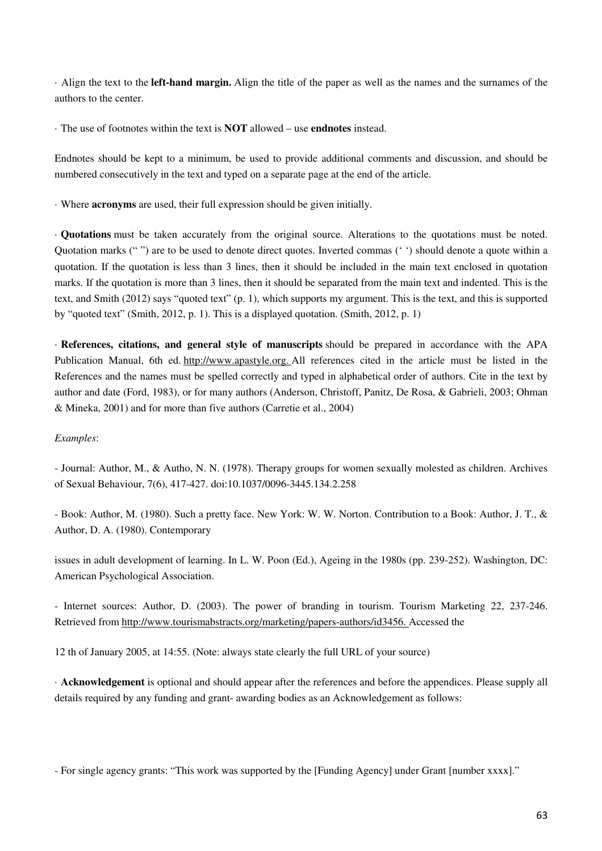· Align the text to the **left-hand margin.** Align the title of the paper as well as the names and the surnames of the authors to the center.

· The use of footnotes within the text is **NOT** allowed – use **endnotes** instead.

Endnotes should be kept to a minimum, be used to provide additional comments and discussion, and should be numbered consecutively in the text and typed on a separate page at the end of the article.

· Where **acronyms** are used, their full expression should be given initially.

· **Quotations** must be taken accurately from the original source. Alterations to the quotations must be noted. Quotation marks (" ") are to be used to denote direct quotes. Inverted commas (' ') should denote a quote within a quotation. If the quotation is less than 3 lines, then it should be included in the main text enclosed in quotation marks. If the quotation is more than 3 lines, then it should be separated from the main text and indented. This is the text, and Smith (2012) says "quoted text" (p. 1), which supports my argument. This is the text, and this is supported by "quoted text" (Smith, 2012, p. 1). This is a displayed quotation. (Smith, 2012, p. 1)

· **References, citations, and general style of manuscripts** should be prepared in accordance with the APA Publication Manual, 6th ed. http://www.apastyle.org. All references cited in the article must be listed in the References and the names must be spelled correctly and typed in alphabetical order of authors. Cite in the text by author and date (Ford, 1983), or for many authors (Anderson, Christoff, Panitz, De Rosa, & Gabrieli, 2003; Ohman & Mineka, 2001) and for more than five authors (Carretie et al., 2004)

#### *Examples*:

- Journal: Author, M., & Autho, N. N. (1978). Therapy groups for women sexually molested as children. Archives of Sexual Behaviour, 7(6), 417-427. doi:10.1037/0096-3445.134.2.258

- Book: Author, M. (1980). Such a pretty face. New York: W. W. Norton. Contribution to a Book: Author, J. T., & Author, D. A. (1980). Contemporary

issues in adult development of learning. In L. W. Poon (Ed.), Ageing in the 1980s (pp. 239-252). Washington, DC: American Psychological Association.

- Internet sources: Author, D. (2003). The power of branding in tourism. Tourism Marketing 22, 237-246. Retrieved from http://www.tourismabstracts.org/marketing/papers-authors/id3456. Accessed the

12 th of January 2005, at 14:55. (Note: always state clearly the full URL of your source)

· **Acknowledgement** is optional and should appear after the references and before the appendices. Please supply all details required by any funding and grant- awarding bodies as an Acknowledgement as follows:

- For single agency grants: "This work was supported by the [Funding Agency] under Grant [number xxxx]."